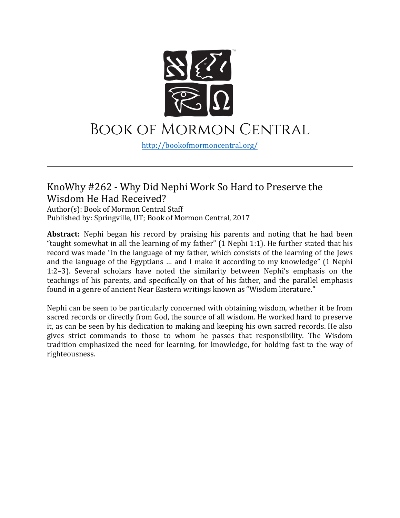

# Book of Mormon Central

[http://bookofmormoncentral.](http://bookofmormoncentral.com/)org/

#### KnoWhy #262 - Why Did Nephi Work So Hard to Preserve the Wisdom He Had Received?

Author(s): Book of Mormon Central Staff Published by: Springville, UT; Book of Mormon Central, 2017

**Abstract:** Nephi began his record by praising his parents and noting that he had been "taught somewhat in all the learning of my father" (1 Nephi 1:1). He further stated that his record was made "in the language of my father, which consists of the learning of the Jews and the language of the Egyptians … and I make it according to my knowledge" (1 Nephi 1:2–3). Several scholars have noted the similarity between Nephi's emphasis on the teachings of his parents, and specifically on that of his father, and the parallel emphasis found in a genre of ancient Near Eastern writings known as "Wisdom literature."

Nephi can be seen to be particularly concerned with obtaining wisdom, whether it be from sacred records or directly from God, the source of all wisdom. He worked hard to preserve it, as can be seen by his dedication to making and keeping his own sacred records. He also gives strict commands to those to whom he passes that responsibility. The Wisdom tradition emphasized the need for learning, for knowledge, for holding fast to the way of righteousness.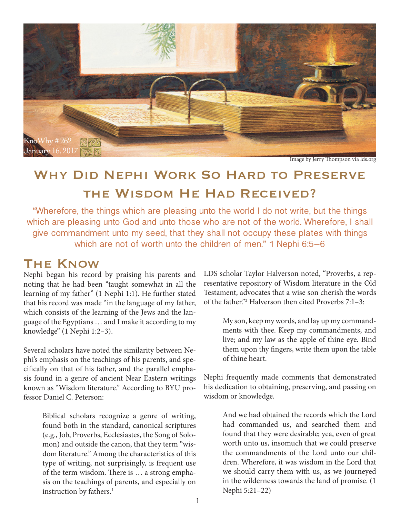

Image by Jerry Thompson via lds.org

## WHY DID NEPHI WORK SO HARD TO PRESERVE the Wisdom He Had Received?

"Wherefore, the things which are pleasing unto the world I do not write, but the things which are pleasing unto God and unto those who are not of the world. Wherefore, I shall give commandment unto my seed, that they shall not occupy these plates with things which are not of worth unto the children of men." 1 Nephi 6:5–6

## The Know

Nephi began his record by praising his parents and noting that he had been "taught somewhat in all the learning of my father" (1 Nephi 1:1). He further stated that his record was made "in the language of my father, which consists of the learning of the Jews and the language of the Egyptians … and I make it according to my knowledge" (1 Nephi 1:2–3).

Several scholars have noted the similarity between Nephi's emphasis on the teachings of his parents, and specifically on that of his father, and the parallel emphasis found in a genre of ancient Near Eastern writings known as "Wisdom literature." According to BYU professor Daniel C. Peterson:

> Biblical scholars recognize a genre of writing, found both in the standard, canonical scriptures (e.g., Job, Proverbs, Ecclesiastes, the Song of Solomon) and outside the canon, that they term "wisdom literature." Among the characteristics of this type of writing, not surprisingly, is frequent use of the term wisdom. There is … a strong emphasis on the teachings of parents, and especially on instruction by fathers.<sup>1</sup>

LDS scholar Taylor Halverson noted, "Proverbs, a representative repository of Wisdom literature in the Old Testament, advocates that a wise son cherish the words of the father."2 Halverson then cited Proverbs 7:1–3:

> My son, keep my words, and lay up my commandments with thee. Keep my commandments, and live; and my law as the apple of thine eye. Bind them upon thy fingers, write them upon the table of thine heart.

Nephi frequently made comments that demonstrated his dedication to obtaining, preserving, and passing on wisdom or knowledge.

> And we had obtained the records which the Lord had commanded us, and searched them and found that they were desirable; yea, even of great worth unto us, insomuch that we could preserve the commandments of the Lord unto our children. Wherefore, it was wisdom in the Lord that we should carry them with us, as we journeyed in the wilderness towards the land of promise. (1 Nephi 5:21–22)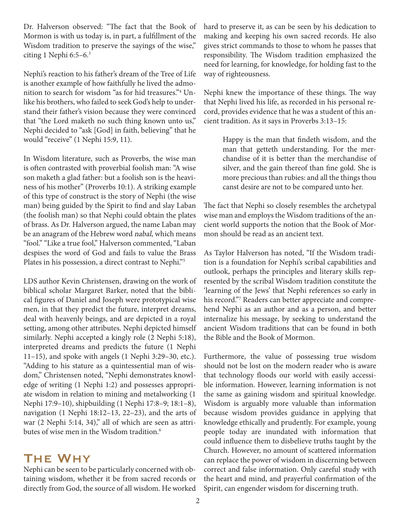Dr. Halverson observed: "The fact that the Book of Mormon is with us today is, in part, a fulfillment of the Wisdom tradition to preserve the sayings of the wise," citing 1 Nephi  $6:5-6.3$ 

Nephi's reaction to his father's dream of the Tree of Life is another example of how faithfully he lived the admonition to search for wisdom "as for hid treasures."4 Unlike his brothers, who failed to seek God's help to understand their father's vision because they were convinced that "the Lord maketh no such thing known unto us," Nephi decided to "ask [God] in faith, believing" that he would "receive" (1 Nephi 15:9, 11).

In Wisdom literature, such as Proverbs, the wise man is often contrasted with proverbial foolish man: "A wise son maketh a glad father: but a foolish son is the heaviness of his mother" (Proverbs 10:1). A striking example of this type of construct is the story of Nephi (the wise man) being guided by the Spirit to find and slay Laban (the foolish man) so that Nephi could obtain the plates of brass. As Dr. Halverson argued, the name Laban may be an anagram of the Hebrew word nabal, which means "fool." "Like a true fool," Halverson commented, "Laban despises the word of God and fails to value the Brass Plates in his possession, a direct contrast to Nephi."5

LDS author Kevin Christensen, drawing on the work of biblical scholar Margaret Barker, noted that the biblical figures of Daniel and Joseph were prototypical wise men, in that they predict the future, interpret dreams, deal with heavenly beings, and are depicted in a royal setting, among other attributes. Nephi depicted himself similarly. Nephi accepted a kingly role (2 Nephi 5:18), interpreted dreams and predicts the future (1 Nephi 11–15), and spoke with angels (1 Nephi 3:29–30, etc.). "Adding to his stature as a quintessential man of wisdom," Christensen noted, "Nephi demonstrates knowledge of writing (1 Nephi 1:2) and possesses appropriate wisdom in relation to mining and metalworking (1 Nephi 17:9–10), shipbuilding (1 Nephi 17:8–9; 18:1–8), navigation (1 Nephi 18:12–13, 22–23), and the arts of war (2 Nephi 5:14, 34)," all of which are seen as attributes of wise men in the Wisdom tradition.<sup>6</sup>

#### The Why

Nephi can be seen to be particularly concerned with obtaining wisdom, whether it be from sacred records or directly from God, the source of all wisdom. He worked hard to preserve it, as can be seen by his dedication to making and keeping his own sacred records. He also gives strict commands to those to whom he passes that responsibility. The Wisdom tradition emphasized the need for learning, for knowledge, for holding fast to the way of righteousness.

Nephi knew the importance of these things. The way that Nephi lived his life, as recorded in his personal record, provides evidence that he was a student of this ancient tradition. As it says in Proverbs 3:13–15:

> Happy is the man that findeth wisdom, and the man that getteth understanding. For the merchandise of it is better than the merchandise of silver, and the gain thereof than fine gold. She is more precious than rubies: and all the things thou canst desire are not to be compared unto her.

The fact that Nephi so closely resembles the archetypal wise man and employs the Wisdom traditions of the ancient world supports the notion that the Book of Mormon should be read as an ancient text.

As Taylor Halverson has noted, "If the Wisdom tradition is a foundation for Nephi's scribal capabilities and outlook, perhaps the principles and literary skills represented by the scribal Wisdom tradition constitute the 'learning of the Jews' that Nephi references so early in his record."7 Readers can better appreciate and comprehend Nephi as an author and as a person, and better internalize his message, by seeking to understand the ancient Wisdom traditions that can be found in both the Bible and the Book of Mormon.

Furthermore, the value of possessing true wisdom should not be lost on the modern reader who is aware that technology floods our world with easily accessible information. However, learning information is not the same as gaining wisdom and spiritual knowledge. Wisdom is arguably more valuable than information because wisdom provides guidance in applying that knowledge ethically and prudently. For example, young people today are inundated with information that could influence them to disbelieve truths taught by the Church. However, no amount of scattered information can replace the power of wisdom in discerning between correct and false information. Only careful study with the heart and mind, and prayerful confirmation of the Spirit, can engender wisdom for discerning truth.